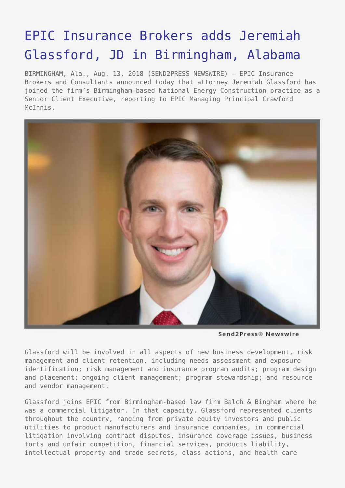## [EPIC Insurance Brokers adds Jeremiah](https://www.send2press.com/wire/epic-insurance-brokers-adds-jeremiah-glassford-jd-in-birmingham-alabama/) [Glassford, JD in Birmingham, Alabama](https://www.send2press.com/wire/epic-insurance-brokers-adds-jeremiah-glassford-jd-in-birmingham-alabama/)

BIRMINGHAM, Ala., Aug. 13, 2018 (SEND2PRESS NEWSWIRE) — EPIC Insurance Brokers and Consultants announced today that attorney Jeremiah Glassford has joined the firm's Birmingham-based National Energy Construction practice as a Senior Client Executive, reporting to EPIC Managing Principal Crawford McTnnis.



Send2Press® Newswire

Glassford will be involved in all aspects of new business development, risk management and client retention, including needs assessment and exposure identification; risk management and insurance program audits; program design and placement; ongoing client management; program stewardship; and resource and vendor management.

Glassford joins EPIC from Birmingham-based law firm Balch & Bingham where he was a commercial litigator. In that capacity, Glassford represented clients throughout the country, ranging from private equity investors and public utilities to product manufacturers and insurance companies, in commercial litigation involving contract disputes, insurance coverage issues, business torts and unfair competition, financial services, products liability, intellectual property and trade secrets, class actions, and health care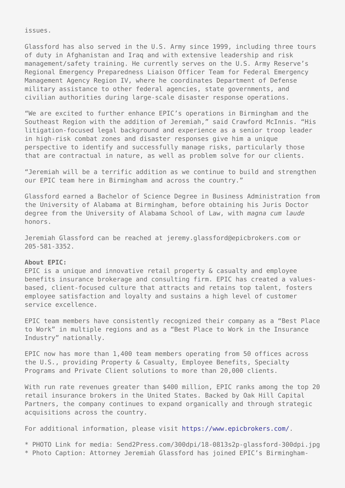issues.

Glassford has also served in the U.S. Army since 1999, including three tours of duty in Afghanistan and Iraq and with extensive leadership and risk management/safety training. He currently serves on the U.S. Army Reserve's Regional Emergency Preparedness Liaison Officer Team for Federal Emergency Management Agency Region IV, where he coordinates Department of Defense military assistance to other federal agencies, state governments, and civilian authorities during large-scale disaster response operations.

"We are excited to further enhance EPIC's operations in Birmingham and the Southeast Region with the addition of Jeremiah," said Crawford McInnis. "His litigation-focused legal background and experience as a senior troop leader in high-risk combat zones and disaster responses give him a unique perspective to identify and successfully manage risks, particularly those that are contractual in nature, as well as problem solve for our clients.

"Jeremiah will be a terrific addition as we continue to build and strengthen our EPIC team here in Birmingham and across the country."

Glassford earned a Bachelor of Science Degree in Business Administration from the University of Alabama at Birmingham, before obtaining his Juris Doctor degree from the University of Alabama School of Law, with *magna cum laude* honors.

Jeremiah Glassford can be reached at jeremy.glassford@epicbrokers.com or 205-581-3352.

## **About EPIC:**

EPIC is a unique and innovative retail property & casualty and employee benefits insurance brokerage and consulting firm. EPIC has created a valuesbased, client-focused culture that attracts and retains top talent, fosters employee satisfaction and loyalty and sustains a high level of customer service excellence.

EPIC team members have consistently recognized their company as a "Best Place to Work" in multiple regions and as a "Best Place to Work in the Insurance Industry" nationally.

EPIC now has more than 1,400 team members operating from 50 offices across the U.S., providing Property & Casualty, Employee Benefits, Specialty Programs and Private Client solutions to more than 20,000 clients.

With run rate revenues greater than \$400 million, EPIC ranks among the top 20 retail insurance brokers in the United States. Backed by Oak Hill Capital Partners, the company continues to expand organically and through strategic acquisitions across the country.

For additional information, please visit<https://www.epicbrokers.com/>.

\* PHOTO Link for media: Send2Press.com/300dpi/18-0813s2p-glassford-300dpi.jpg \* Photo Caption: Attorney Jeremiah Glassford has joined EPIC's Birmingham